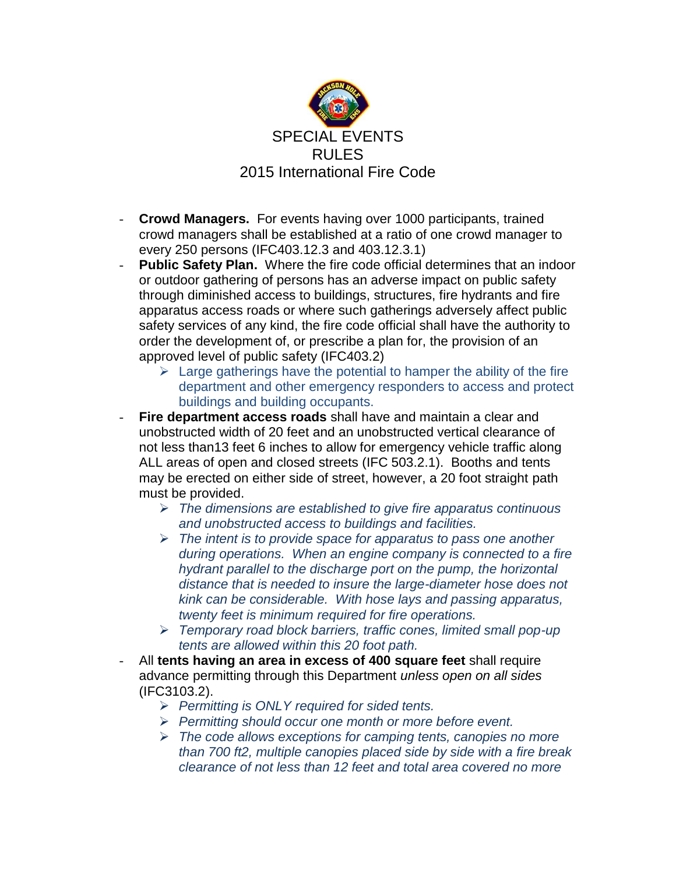

- **Crowd Managers.** For events having over 1000 participants, trained crowd managers shall be established at a ratio of one crowd manager to every 250 persons (IFC403.12.3 and 403.12.3.1)
- **Public Safety Plan.** Where the fire code official determines that an indoor or outdoor gathering of persons has an adverse impact on public safety through diminished access to buildings, structures, fire hydrants and fire apparatus access roads or where such gatherings adversely affect public safety services of any kind, the fire code official shall have the authority to order the development of, or prescribe a plan for, the provision of an approved level of public safety (IFC403.2)
	- $\triangleright$  Large gatherings have the potential to hamper the ability of the fire department and other emergency responders to access and protect buildings and building occupants.
- **Fire department access roads** shall have and maintain a clear and unobstructed width of 20 feet and an unobstructed vertical clearance of not less than13 feet 6 inches to allow for emergency vehicle traffic along ALL areas of open and closed streets (IFC 503.2.1). Booths and tents may be erected on either side of street, however, a 20 foot straight path must be provided.
	- *The dimensions are established to give fire apparatus continuous and unobstructed access to buildings and facilities.*
	- *The intent is to provide space for apparatus to pass one another during operations. When an engine company is connected to a fire hydrant parallel to the discharge port on the pump, the horizontal distance that is needed to insure the large-diameter hose does not kink can be considerable. With hose lays and passing apparatus, twenty feet is minimum required for fire operations.*
	- *Temporary road block barriers, traffic cones, limited small pop-up tents are allowed within this 20 foot path.*
- All **tents having an area in excess of 400 square feet** shall require advance permitting through this Department *unless open on all sides* (IFC3103.2).
	- *Permitting is ONLY required for sided tents.*
	- *Permitting should occur one month or more before event.*
	- *The code allows exceptions for camping tents, canopies no more than 700 ft2, multiple canopies placed side by side with a fire break clearance of not less than 12 feet and total area covered no more*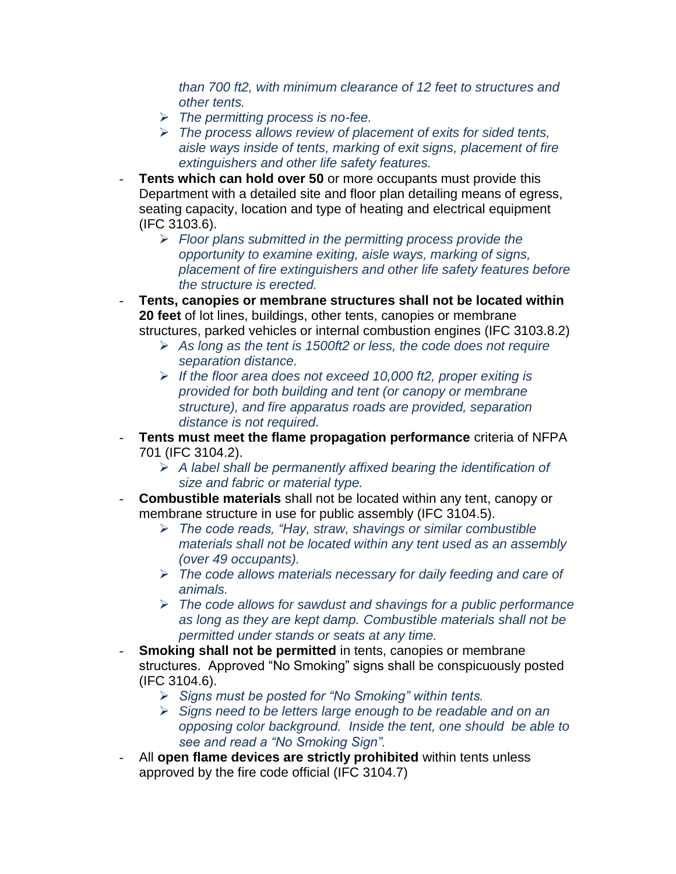*than 700 ft2, with minimum clearance of 12 feet to structures and other tents.*

- *The permitting process is no-fee.*
- *The process allows review of placement of exits for sided tents, aisle ways inside of tents, marking of exit signs, placement of fire extinguishers and other life safety features.*
- **Tents which can hold over 50** or more occupants must provide this Department with a detailed site and floor plan detailing means of egress, seating capacity, location and type of heating and electrical equipment (IFC 3103.6).
	- *Floor plans submitted in the permitting process provide the opportunity to examine exiting, aisle ways, marking of signs, placement of fire extinguishers and other life safety features before the structure is erected.*
- **Tents, canopies or membrane structures shall not be located within 20 feet** of lot lines, buildings, other tents, canopies or membrane structures, parked vehicles or internal combustion engines (IFC 3103.8.2)
	- *As long as the tent is 1500ft2 or less, the code does not require separation distance.*
	- *If the floor area does not exceed 10,000 ft2, proper exiting is provided for both building and tent (or canopy or membrane structure), and fire apparatus roads are provided, separation distance is not required.*
- **Tents must meet the flame propagation performance** criteria of NFPA 701 (IFC 3104.2).
	- *A label shall be permanently affixed bearing the identification of size and fabric or material type.*
- **Combustible materials** shall not be located within any tent, canopy or membrane structure in use for public assembly (IFC 3104.5).
	- *The code reads, "Hay, straw, shavings or similar combustible materials shall not be located within any tent used as an assembly (over 49 occupants).*
	- *The code allows materials necessary for daily feeding and care of animals.*
	- *The code allows for sawdust and shavings for a public performance as long as they are kept damp. Combustible materials shall not be permitted under stands or seats at any time.*
- **Smoking shall not be permitted** in tents, canopies or membrane structures. Approved "No Smoking" signs shall be conspicuously posted (IFC 3104.6).
	- *Signs must be posted for "No Smoking" within tents.*
	- *Signs need to be letters large enough to be readable and on an opposing color background. Inside the tent, one should be able to see and read a "No Smoking Sign".*
- All **open flame devices are strictly prohibited** within tents unless approved by the fire code official (IFC 3104.7)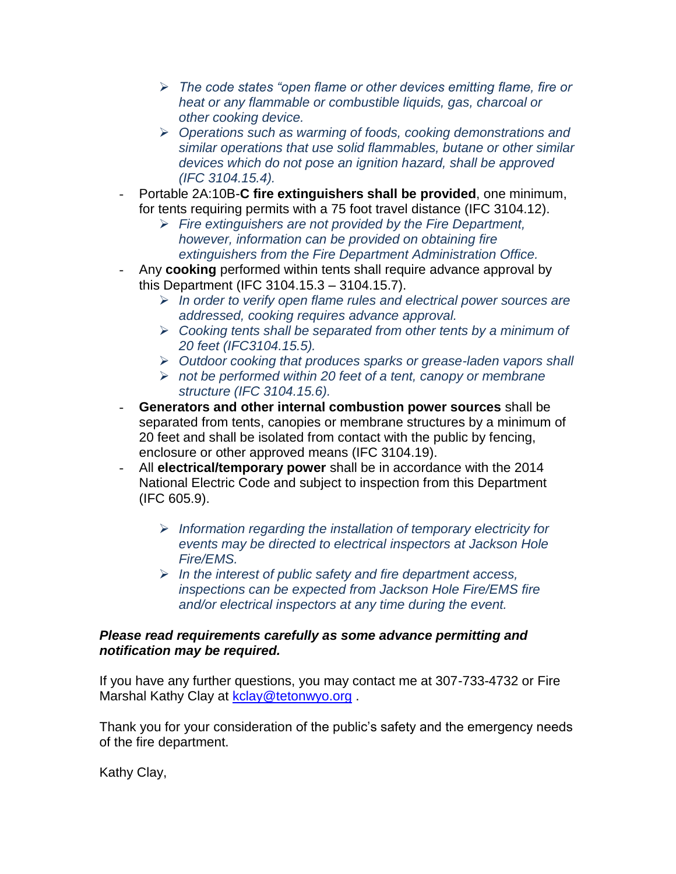- *The code states "open flame or other devices emitting flame, fire or heat or any flammable or combustible liquids, gas, charcoal or other cooking device.*
- *Operations such as warming of foods, cooking demonstrations and similar operations that use solid flammables, butane or other similar devices which do not pose an ignition hazard, shall be approved (IFC 3104.15.4).*
- Portable 2A:10B-**C fire extinguishers shall be provided**, one minimum, for tents requiring permits with a 75 foot travel distance (IFC 3104.12).
	- *Fire extinguishers are not provided by the Fire Department, however, information can be provided on obtaining fire extinguishers from the Fire Department Administration Office.*
- Any **cooking** performed within tents shall require advance approval by this Department (IFC 3104.15.3 – 3104.15.7).
	- *In order to verify open flame rules and electrical power sources are addressed, cooking requires advance approval.*
	- *Cooking tents shall be separated from other tents by a minimum of 20 feet (IFC3104.15.5).*
	- *Outdoor cooking that produces sparks or grease-laden vapors shall*
	- *not be performed within 20 feet of a tent, canopy or membrane structure (IFC 3104.15.6).*
- **Generators and other internal combustion power sources** shall be separated from tents, canopies or membrane structures by a minimum of 20 feet and shall be isolated from contact with the public by fencing, enclosure or other approved means (IFC 3104.19).
- All **electrical/temporary power** shall be in accordance with the 2014 National Electric Code and subject to inspection from this Department (IFC 605.9).
	- *Information regarding the installation of temporary electricity for events may be directed to electrical inspectors at Jackson Hole Fire/EMS.*
	- *In the interest of public safety and fire department access, inspections can be expected from Jackson Hole Fire/EMS fire and/or electrical inspectors at any time during the event.*

## *Please read requirements carefully as some advance permitting and notification may be required.*

If you have any further questions, you may contact me at 307-733-4732 or Fire Marshal Kathy Clay at [kclay@tetonwyo.org](mailto:kclay@tetonwyo.org).

Thank you for your consideration of the public's safety and the emergency needs of the fire department.

Kathy Clay,